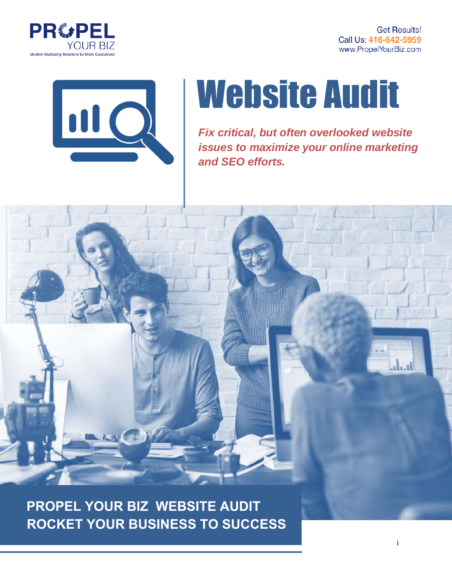

**Get Results!** Call Us: 416-642-5959 www.PropelYourBiz.com



# Website Audit

*Fix critical, but often overlooked website issues to maximize your online marketing and SEO efforts.* 



**ROCKET YOUR BUSINESS TO SUCCESS PROPEL YOUR BIZ WEBSITE AUDIT**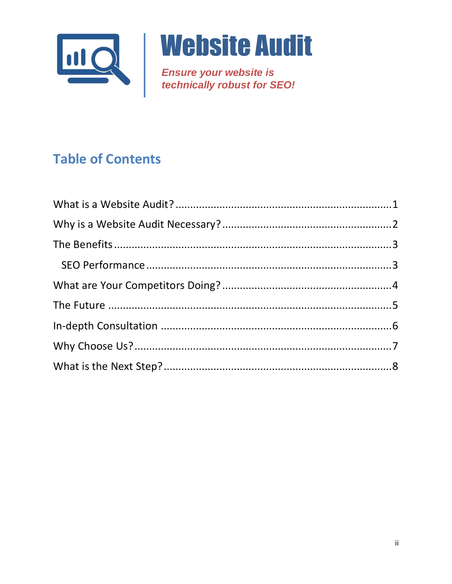

**Ensure your website is<br>technically robust for SEO!** 

# **Table of Contents**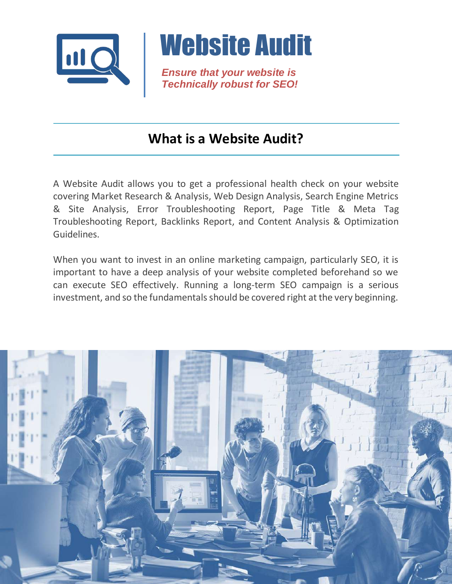

*Ensure that your website is Technically robust for SEO!*

#### <span id="page-2-0"></span>**What is a Website Audit?**

A Website Audit allows you to get a professional health check on your website covering Market Research & Analysis, Web Design Analysis, Search Engine Metrics & Site Analysis, Error Troubleshooting Report, Page Title & Meta Tag Troubleshooting Report, Backlinks Report, and Content Analysis & Optimization Guidelines.

When you want to invest in an online marketing campaign, particularly SEO, it is important to have a deep analysis of your website completed beforehand so we can execute SEO effectively. Running a long-term SEO campaign is a serious investment, and so the fundamentals should be covered right at the very beginning.

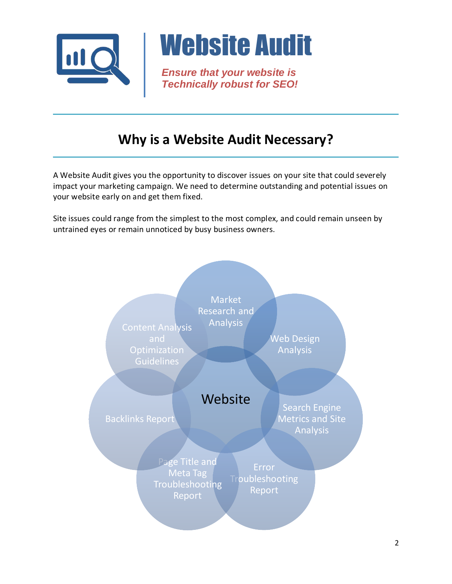<span id="page-3-0"></span>

*Ensure that your website is Technically robust for SEO!*

#### **Why is a Website Audit Necessary?**

A Website Audit gives you the opportunity to discover issues on your site that could severely impact your marketing campaign. We need to determine outstanding and potential issues on your website early on and get them fixed.

Site issues could range from the simplest to the most complex, and could remain unseen by untrained eyes or remain unnoticed by busy business owners.

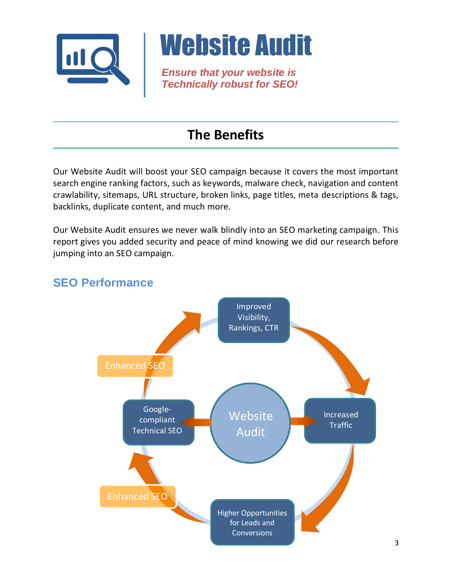

*Ensure that your website is Technically robust for SEO!*

### <span id="page-4-0"></span>**The Benefits**

Our Website Audit will boost your SEO campaign because it covers the most important search engine ranking factors, such as keywords, malware check, navigation and content crawlability, sitemaps, URL structure, broken links, page titles, meta descriptions & tags, backlinks, duplicate content, and much more.

Our Website Audit ensures we never walk blindly into an SEO marketing campaign. This report gives you added security and peace of mind knowing we did our research before jumping into an SEO campaign.



#### <span id="page-4-1"></span>**SEO Performance**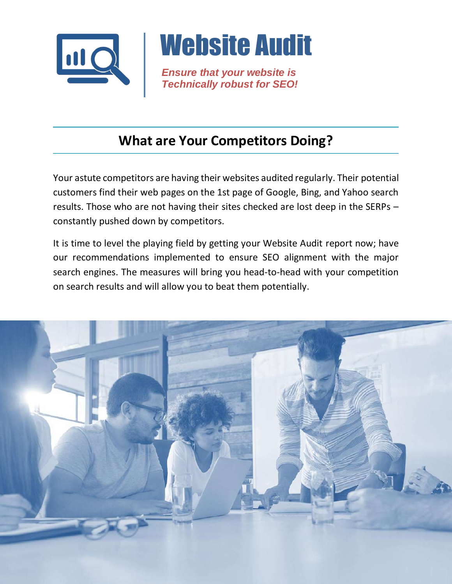

*Ensure that your website is Technically robust for SEO!*

#### <span id="page-5-0"></span>**What are Your Competitors Doing?**

Your astute competitors are having their websites audited regularly. Their potential customers find their web pages on the 1st page of Google, Bing, and Yahoo search results. Those who are not having their sites checked are lost deep in the SERPs – constantly pushed down by competitors.

It is time to level the playing field by getting your Website Audit report now; have our recommendations implemented to ensure SEO alignment with the major search engines. The measures will bring you head-to-head with your competition on search results and will allow you to beat them potentially.

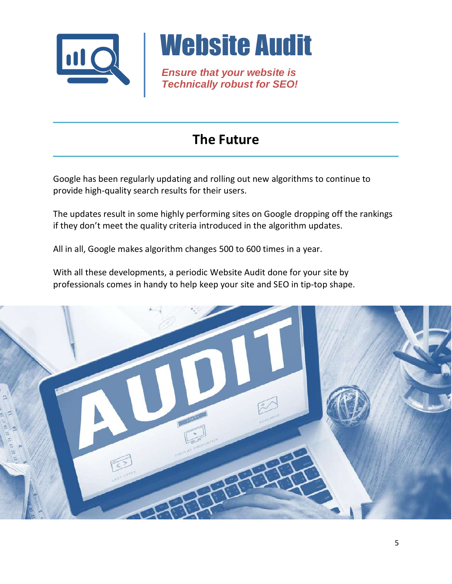

*Ensure that your website is Technically robust for SEO!*

#### <span id="page-6-0"></span>**The Future**

Google has been regularly updating and rolling out new algorithms to continue to provide high-quality search results for their users.

The updates result in some highly performing sites on Google dropping off the rankings if they don't meet the quality criteria introduced in the algorithm updates.

All in all, Google makes algorithm changes 500 to 600 times in a year.

With all these developments, a periodic Website Audit done for your site by professionals comes in handy to help keep your site and SEO in tip-top shape.

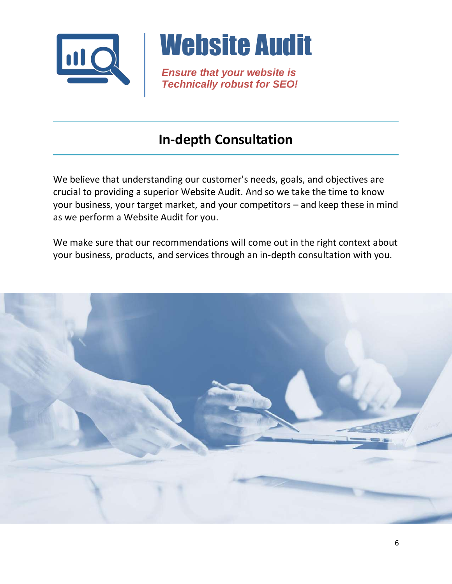

*Ensure that your website is Technically robust for SEO!*

### <span id="page-7-0"></span>**In-depth Consultation**

We believe that understanding our customer's needs, goals, and objectives are crucial to providing a superior Website Audit. And so we take the time to know your business, your target market, and your competitors – and keep these in mind as we perform a Website Audit for you.

We make sure that our recommendations will come out in the right context about your business, products, and services through an in-depth consultation with you.

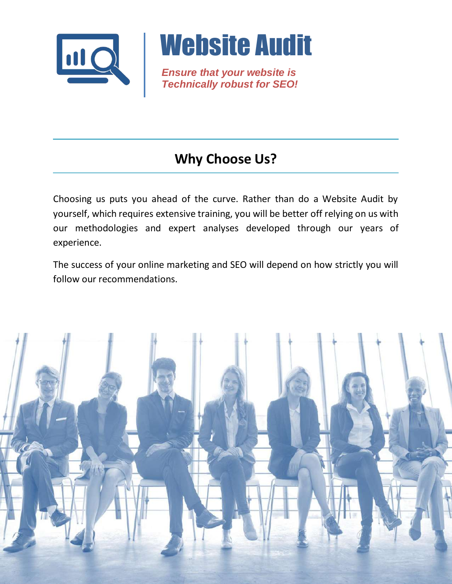

*Ensure that your website is Technically robust for SEO!*

# <span id="page-8-0"></span>**Why Choose Us?**

Choosing us puts you ahead of the curve. Rather than do a Website Audit by yourself, which requires extensive training, you will be better off relying on us with our methodologies and expert analyses developed through our years of experience.

The success of your online marketing and SEO will depend on how strictly you will follow our recommendations.